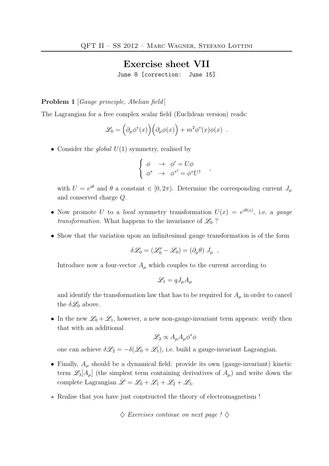## Exercise sheet VII

June 8 [correction: June 15]

Problem 1 [Gauge principle, Abelian field]

The Lagrangian for a free complex scalar field (Euclidean version) reads:

$$
\mathscr{L}_0 = \left( \partial_\mu \phi^*(x) \right) \left( \partial_\mu \phi(x) \right) + m^2 \phi^*(x) \phi(x) .
$$

• Consider the *global*  $U(1)$  symmetry, realised by

$$
\begin{cases} \phi & \to \phi' = U\phi \\ \phi^* & \to \phi^{*'} = \phi^* U^{\dagger} \end{cases}
$$

with  $U = e^{i\theta}$  and  $\theta$  a constant  $\in [0, 2\pi)$ . Determine the corresponding current  $J_{\mu}$ and conserved charge Q.

- Now promote U to a local symmetry transformation  $U(x) = e^{i\theta(x)}$ , i.e. a gauge transformation. What happens to the invariance of  $\mathscr{L}_0$ ?
- Show that the variation upon an infinitesimal gauge transformation is of the form

$$
\delta \mathscr{L}_0 = (\mathscr{L}'_0 - \mathscr{L}_0) = (\partial_\mu \theta) J_\mu ,
$$

Introduce now a four-vector  $A_\mu$  which couples to the current according to

$$
\mathscr{L}_1 = qJ_\mu A_\mu
$$

and identify the transformation law that has to be required for  $A_\mu$  in order to cancel the  $\delta \mathcal{L}_0$  above.

• In the new  $\mathscr{L}_0 + \mathscr{L}_1$ , however, a new non-gauge-invariant term appears: verify then that with an additional

$$
\mathscr{L}_2 \propto A_\mu A_\mu \phi^* \phi
$$

one can achieve  $\delta \mathcal{L}_2 = -\delta(\mathcal{L}_0 + \mathcal{L}_1)$ , i.e. build a gauge-invariant Lagrangian.

- Finally,  $A_\mu$  should be a dynamical field: provide its own (gauge-invariant) kinetic term  $\mathscr{L}_3[A_\mu]$  (the simplest term containing derivatives of  $A_\mu$ ) and write down the complete Lagrangian  $\mathscr{L} = \mathscr{L}_0 + \mathscr{L}_1 + \mathscr{L}_2 + \mathscr{L}_3$ .
- $\star$  Realise that you have just constructed the theory of electromagnetism !

 $\Diamond$  Exercises continue on next page !  $\Diamond$